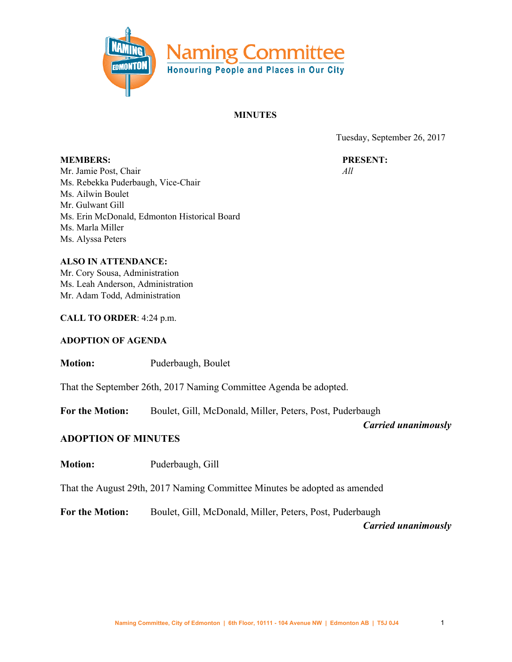

#### **MINUTES**

Tuesday, September 26, 2017

**PRESENT:** *All*

**MEMBERS:** Mr. Jamie Post, Chair Ms. Rebekka Puderbaugh, Vice-Chair Ms. Ailwin Boulet Mr. Gulwant Gill Ms. Erin McDonald, Edmonton Historical Board Ms. Marla Miller Ms. Alyssa Peters

**ALSO IN ATTENDANCE:** Mr. Cory Sousa, Administration Ms. Leah Anderson, Administration Mr. Adam Todd, Administration

**CALL TO ORDER**: 4:24 p.m.

### **ADOPTION OF AGENDA**

**Motion:** Puderbaugh, Boulet

That the September 26th, 2017 Naming Committee Agenda be adopted.

**For the Motion:** Boulet, Gill, McDonald, Miller, Peters, Post, Puderbaugh

*Carried unanimously*

### **ADOPTION OF MINUTES**

**Motion:** Puderbaugh, Gill

That the August 29th, 2017 Naming Committee Minutes be adopted as amended

**For the Motion:** Boulet, Gill, McDonald, Miller, Peters, Post, Puderbaugh

*Carried unanimously*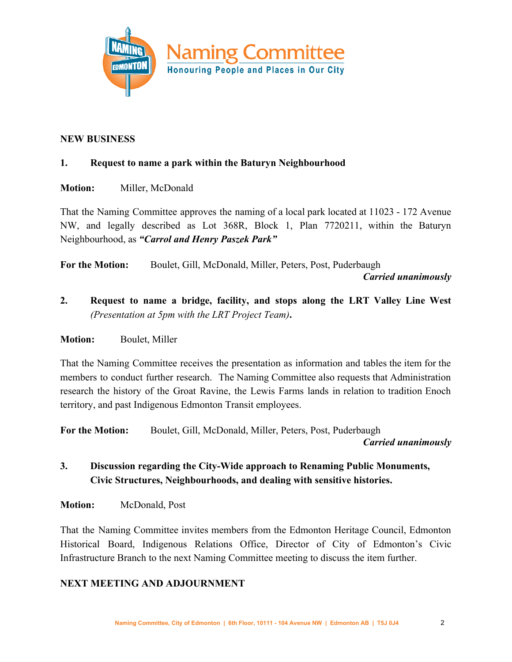

## **NEW BUSINESS**

## **1. Request to name a park within the Baturyn Neighbourhood**

## **Motion:** Miller, McDonald

That the Naming Committee approves the naming of a local park located at 11023 - 172 Avenue NW, and legally described as Lot 368R, Block 1, Plan 7720211, within the Baturyn Neighbourhood, as *"Carrol and Henry Paszek Park"*

**For the Motion:** Boulet, Gill, McDonald, Miller, Peters, Post, Puderbaugh

*Carried unanimously*

**2. Request to name a bridge, facility, and stops along the LRT Valley Line West** *(Presentation at 5pm with the LRT Project Team)***.**

### **Motion:** Boulet, Miller

That the Naming Committee receives the presentation as information and tables the item for the members to conduct further research. The Naming Committee also requests that Administration research the history of the Groat Ravine, the Lewis Farms lands in relation to tradition Enoch territory, and past Indigenous Edmonton Transit employees.

**For the Motion:** Boulet, Gill, McDonald, Miller, Peters, Post, Puderbaugh

*Carried unanimously*

# **3. Discussion regarding the City-Wide approach to Renaming Public Monuments, Civic Structures, Neighbourhoods, and dealing with sensitive histories.**

**Motion:** McDonald, Post

That the Naming Committee invites members from the Edmonton Heritage Council, Edmonton Historical Board, Indigenous Relations Office, Director of City of Edmonton's Civic Infrastructure Branch to the next Naming Committee meeting to discuss the item further.

## **NEXT MEETING AND ADJOURNMENT**